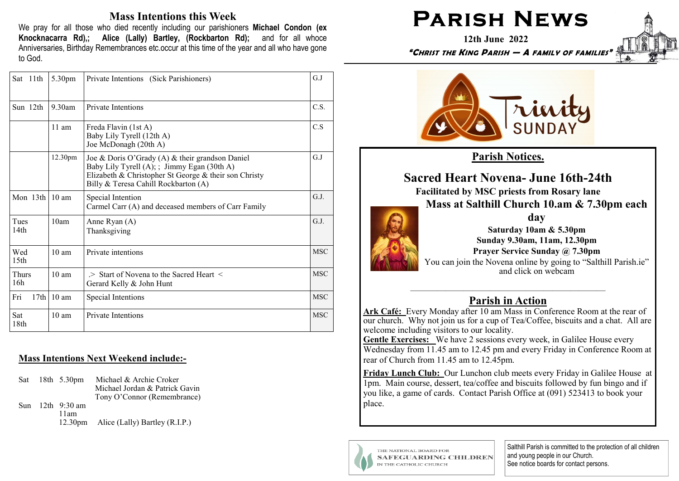## **Mass Intentions this Week**

We pray for all those who died recently including our parishioners Michael Condon (ex Knocknacarra Rd),; Alice (Lally) Bartley, (Rockbarton Rd); and for all whoce Anniversaries, Birthday Remembrances etc.occur at this time of the year and all who have gone to God.

| Sat 11th                | 5.30pm          | Private Intentions (Sick Parishioners)                                                                                                                                                          | G.J        |
|-------------------------|-----------------|-------------------------------------------------------------------------------------------------------------------------------------------------------------------------------------------------|------------|
| Sun 12th                | 9.30am          | <b>Private Intentions</b>                                                                                                                                                                       | C.S.       |
|                         | $11$ am         | Freda Flavin (1st A)<br>Baby Lily Tyrell (12th A)<br>Joe McDonagh (20th A)                                                                                                                      | C.S        |
|                         | 12.30pm         | Joe & Doris O'Grady (A) & their grandson Daniel<br>Baby Lily Tyrell (A); ; Jimmy Egan (30th A)<br>Elizabeth & Christopher St George & their son Christy<br>Billy & Teresa Cahill Rockbarton (A) | G.J        |
| Mon 13th 10 am          |                 | Special Intention<br>Carmel Carr (A) and deceased members of Carr Family                                                                                                                        | G.J.       |
| Tues<br>14th            | 10am            | Anne Ryan (A)<br>Thanksgiving                                                                                                                                                                   | G.J.       |
| Wed<br>15 <sub>th</sub> | $10 \text{ am}$ | Private intentions                                                                                                                                                                              | <b>MSC</b> |
| Thurs<br>16h            | $10 \text{ am}$ | $\ge$ Start of Novena to the Sacred Heart $\le$<br>Gerard Kelly & John Hunt                                                                                                                     | <b>MSC</b> |
| Fri<br>17th             | $10 \text{ am}$ | Special Intentions                                                                                                                                                                              | <b>MSC</b> |
| Sat<br>18 <sub>th</sub> | $10 \text{ am}$ | Private Intentions                                                                                                                                                                              | <b>MSC</b> |

### **Mass Intentions Next Weekend include:-**

Sat 18th 5.30pm Michael & Archie Croker Michael Jordan & Patrick Gavin Tony O'Connor (Remembrance) Sun  $12th$  9.30 am  $11am$ 12.30pm Alice (Lally) Bartley (R.I.P.)

# **PARISH NEWS**

12th June 2022



"CHRIST THE KING PARISH - A FAMILY OF FAMILIE:



**Parish Notices.** 

**Sacred Heart Novena-June 16th-24th Facilitated by MSC priests from Rosary lane** 

Mass at Salthill Church 10.am & 7.30pm each

dav

Saturday 10am & 5.30pm Sunday 9.30am, 11am, 12.30pm Prayer Service Sunday @ 7.30pm You can join the Novena online by going to "Salthill Parish.je" and click on webcam

# **Parish in Action**

Ark Café: Every Monday after 10 am Mass in Conference Room at the rear of our church. Why not join us for a cup of Tea/Coffee, biscuits and a chat. All are welcome including visitors to our locality.

Gentle Exercises: We have 2 sessions every week, in Galilee House every Wednesday from 11.45 am to 12.45 pm and every Friday in Conference Room at rear of Church from 11.45 am to 12.45pm.

Friday Lunch Club: Our Lunchon club meets every Friday in Galilee House at 1pm. Main course, dessert, tea/coffee and biscuits followed by fun bingo and if you like, a game of cards. Contact Parish Office at (091) 523413 to book your place.



THE NATIONAL BOARD FOR **SAFEGUARDING CHILDREN** IN THE CATHOLIC CHURCH

Salthill Parish is committed to the protection of all children and young people in our Church. See notice boards for contact persons.